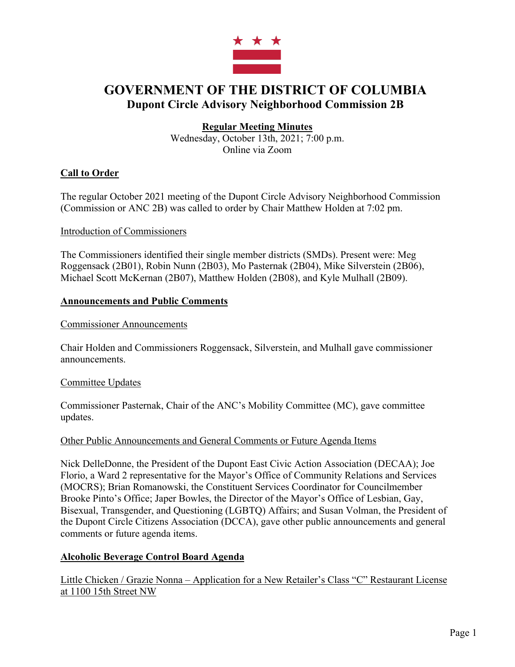

# **GOVERNMENT OF THE DISTRICT OF COLUMBIA Dupont Circle Advisory Neighborhood Commission 2B**

# **Regular Meeting Minutes**

Wednesday, October 13th, 2021; 7:00 p.m. Online via Zoom

# **Call to Order**

The regular October 2021 meeting of the Dupont Circle Advisory Neighborhood Commission (Commission or ANC 2B) was called to order by Chair Matthew Holden at 7:02 pm.

Introduction of Commissioners

The Commissioners identified their single member districts (SMDs). Present were: Meg Roggensack (2B01), Robin Nunn (2B03), Mo Pasternak (2B04), Mike Silverstein (2B06), Michael Scott McKernan (2B07), Matthew Holden (2B08), and Kyle Mulhall (2B09).

## **Announcements and Public Comments**

#### Commissioner Announcements

Chair Holden and Commissioners Roggensack, Silverstein, and Mulhall gave commissioner announcements.

#### Committee Updates

Commissioner Pasternak, Chair of the ANC's Mobility Committee (MC), gave committee updates.

#### Other Public Announcements and General Comments or Future Agenda Items

Nick DelleDonne, the President of the Dupont East Civic Action Association (DECAA); Joe Florio, a Ward 2 representative for the Mayor's Office of Community Relations and Services (MOCRS); Brian Romanowski, the Constituent Services Coordinator for Councilmember Brooke Pinto's Office; Japer Bowles, the Director of the Mayor's Office of Lesbian, Gay, Bisexual, Transgender, and Questioning (LGBTQ) Affairs; and Susan Volman, the President of the Dupont Circle Citizens Association (DCCA), gave other public announcements and general comments or future agenda items.

## **Alcoholic Beverage Control Board Agenda**

Little Chicken / Grazie Nonna – Application for a New Retailer's Class "C" Restaurant License at 1100 15th Street NW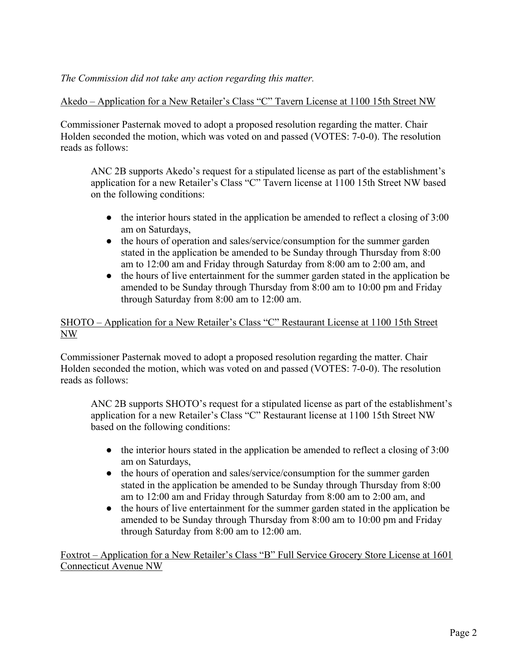# *The Commission did not take any action regarding this matter.*

#### Akedo – Application for a New Retailer's Class "C" Tavern License at 1100 15th Street NW

Commissioner Pasternak moved to adopt a proposed resolution regarding the matter. Chair Holden seconded the motion, which was voted on and passed (VOTES: 7-0-0). The resolution reads as follows:

ANC 2B supports Akedo's request for a stipulated license as part of the establishment's application for a new Retailer's Class "C" Tavern license at 1100 15th Street NW based on the following conditions:

- $\bullet$  the interior hours stated in the application be amended to reflect a closing of 3:00 am on Saturdays,
- the hours of operation and sales/service/consumption for the summer garden stated in the application be amended to be Sunday through Thursday from 8:00 am to 12:00 am and Friday through Saturday from 8:00 am to 2:00 am, and
- the hours of live entertainment for the summer garden stated in the application be amended to be Sunday through Thursday from 8:00 am to 10:00 pm and Friday through Saturday from 8:00 am to 12:00 am.

## SHOTO – Application for a New Retailer's Class "C" Restaurant License at 1100 15th Street NW

Commissioner Pasternak moved to adopt a proposed resolution regarding the matter. Chair Holden seconded the motion, which was voted on and passed (VOTES: 7-0-0). The resolution reads as follows:

ANC 2B supports SHOTO's request for a stipulated license as part of the establishment's application for a new Retailer's Class "C" Restaurant license at 1100 15th Street NW based on the following conditions:

- $\bullet$  the interior hours stated in the application be amended to reflect a closing of 3:00 am on Saturdays,
- the hours of operation and sales/service/consumption for the summer garden stated in the application be amended to be Sunday through Thursday from 8:00 am to 12:00 am and Friday through Saturday from 8:00 am to 2:00 am, and
- the hours of live entertainment for the summer garden stated in the application be amended to be Sunday through Thursday from 8:00 am to 10:00 pm and Friday through Saturday from 8:00 am to 12:00 am.

Foxtrot – Application for a New Retailer's Class "B" Full Service Grocery Store License at 1601 Connecticut Avenue NW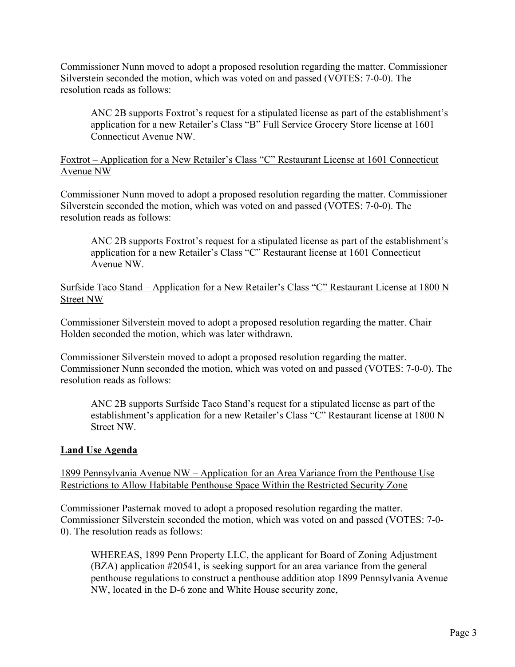Commissioner Nunn moved to adopt a proposed resolution regarding the matter. Commissioner Silverstein seconded the motion, which was voted on and passed (VOTES: 7-0-0). The resolution reads as follows:

ANC 2B supports Foxtrot's request for a stipulated license as part of the establishment's application for a new Retailer's Class "B" Full Service Grocery Store license at 1601 Connecticut Avenue NW.

#### Foxtrot – Application for a New Retailer's Class "C" Restaurant License at 1601 Connecticut Avenue NW

Commissioner Nunn moved to adopt a proposed resolution regarding the matter. Commissioner Silverstein seconded the motion, which was voted on and passed (VOTES: 7-0-0). The resolution reads as follows:

ANC 2B supports Foxtrot's request for a stipulated license as part of the establishment's application for a new Retailer's Class "C" Restaurant license at 1601 Connecticut Avenue NW.

Surfside Taco Stand – Application for a New Retailer's Class "C" Restaurant License at 1800 N Street NW

Commissioner Silverstein moved to adopt a proposed resolution regarding the matter. Chair Holden seconded the motion, which was later withdrawn.

Commissioner Silverstein moved to adopt a proposed resolution regarding the matter. Commissioner Nunn seconded the motion, which was voted on and passed (VOTES: 7-0-0). The resolution reads as follows:

ANC 2B supports Surfside Taco Stand's request for a stipulated license as part of the establishment's application for a new Retailer's Class "C" Restaurant license at 1800 N Street NW.

## **Land Use Agenda**

1899 Pennsylvania Avenue NW – Application for an Area Variance from the Penthouse Use Restrictions to Allow Habitable Penthouse Space Within the Restricted Security Zone

Commissioner Pasternak moved to adopt a proposed resolution regarding the matter. Commissioner Silverstein seconded the motion, which was voted on and passed (VOTES: 7-0- 0). The resolution reads as follows:

WHEREAS, 1899 Penn Property LLC, the applicant for Board of Zoning Adjustment (BZA) application #20541, is seeking support for an area variance from the general penthouse regulations to construct a penthouse addition atop 1899 Pennsylvania Avenue NW, located in the D-6 zone and White House security zone,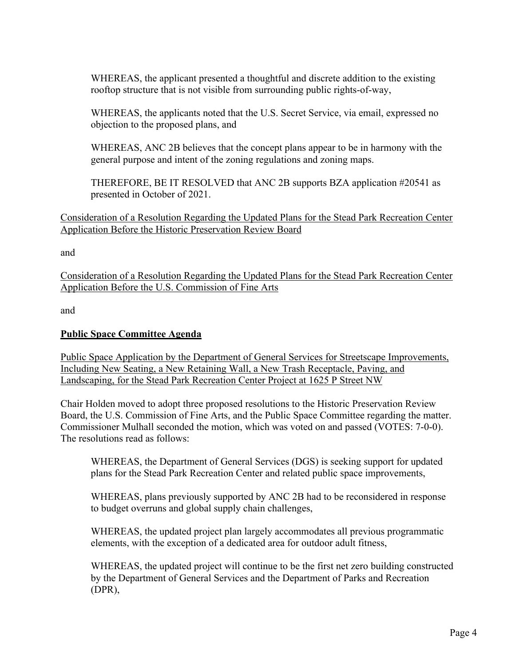WHEREAS, the applicant presented a thoughtful and discrete addition to the existing rooftop structure that is not visible from surrounding public rights-of-way,

WHEREAS, the applicants noted that the U.S. Secret Service, via email, expressed no objection to the proposed plans, and

WHEREAS, ANC 2B believes that the concept plans appear to be in harmony with the general purpose and intent of the zoning regulations and zoning maps.

THEREFORE, BE IT RESOLVED that ANC 2B supports BZA application #20541 as presented in October of 2021.

Consideration of a Resolution Regarding the Updated Plans for the Stead Park Recreation Center Application Before the Historic Preservation Review Board

and

Consideration of a Resolution Regarding the Updated Plans for the Stead Park Recreation Center Application Before the U.S. Commission of Fine Arts

and

## **Public Space Committee Agenda**

Public Space Application by the Department of General Services for Streetscape Improvements, Including New Seating, a New Retaining Wall, a New Trash Receptacle, Paving, and Landscaping, for the Stead Park Recreation Center Project at 1625 P Street NW

Chair Holden moved to adopt three proposed resolutions to the Historic Preservation Review Board, the U.S. Commission of Fine Arts, and the Public Space Committee regarding the matter. Commissioner Mulhall seconded the motion, which was voted on and passed (VOTES: 7-0-0). The resolutions read as follows:

WHEREAS, the Department of General Services (DGS) is seeking support for updated plans for the Stead Park Recreation Center and related public space improvements,

WHEREAS, plans previously supported by ANC 2B had to be reconsidered in response to budget overruns and global supply chain challenges,

WHEREAS, the updated project plan largely accommodates all previous programmatic elements, with the exception of a dedicated area for outdoor adult fitness,

WHEREAS, the updated project will continue to be the first net zero building constructed by the Department of General Services and the Department of Parks and Recreation (DPR),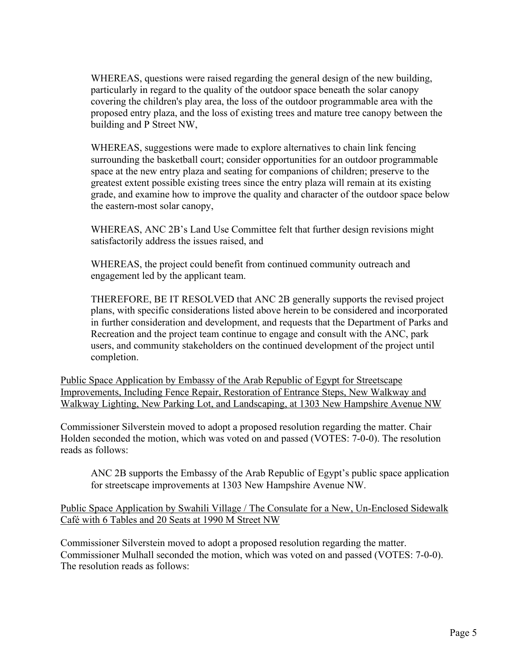WHEREAS, questions were raised regarding the general design of the new building, particularly in regard to the quality of the outdoor space beneath the solar canopy covering the children's play area, the loss of the outdoor programmable area with the proposed entry plaza, and the loss of existing trees and mature tree canopy between the building and P Street NW,

WHEREAS, suggestions were made to explore alternatives to chain link fencing surrounding the basketball court; consider opportunities for an outdoor programmable space at the new entry plaza and seating for companions of children; preserve to the greatest extent possible existing trees since the entry plaza will remain at its existing grade, and examine how to improve the quality and character of the outdoor space below the eastern-most solar canopy,

WHEREAS, ANC 2B's Land Use Committee felt that further design revisions might satisfactorily address the issues raised, and

WHEREAS, the project could benefit from continued community outreach and engagement led by the applicant team.

THEREFORE, BE IT RESOLVED that ANC 2B generally supports the revised project plans, with specific considerations listed above herein to be considered and incorporated in further consideration and development, and requests that the Department of Parks and Recreation and the project team continue to engage and consult with the ANC, park users, and community stakeholders on the continued development of the project until completion.

Public Space Application by Embassy of the Arab Republic of Egypt for Streetscape Improvements, Including Fence Repair, Restoration of Entrance Steps, New Walkway and Walkway Lighting, New Parking Lot, and Landscaping, at 1303 New Hampshire Avenue NW

Commissioner Silverstein moved to adopt a proposed resolution regarding the matter. Chair Holden seconded the motion, which was voted on and passed (VOTES: 7-0-0). The resolution reads as follows:

ANC 2B supports the Embassy of the Arab Republic of Egypt's public space application for streetscape improvements at 1303 New Hampshire Avenue NW.

Public Space Application by Swahili Village / The Consulate for a New, Un-Enclosed Sidewalk Café with 6 Tables and 20 Seats at 1990 M Street NW

Commissioner Silverstein moved to adopt a proposed resolution regarding the matter. Commissioner Mulhall seconded the motion, which was voted on and passed (VOTES: 7-0-0). The resolution reads as follows: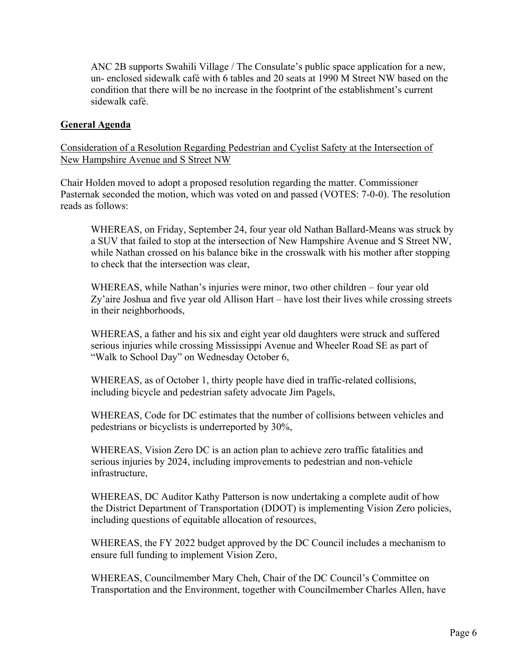ANC 2B supports Swahili Village / The Consulate's public space application for a new, un- enclosed sidewalk café with 6 tables and 20 seats at 1990 M Street NW based on the condition that there will be no increase in the footprint of the establishment's current sidewalk café.

## **General Agenda**

Consideration of a Resolution Regarding Pedestrian and Cyclist Safety at the Intersection of New Hampshire Avenue and S Street NW

Chair Holden moved to adopt a proposed resolution regarding the matter. Commissioner Pasternak seconded the motion, which was voted on and passed (VOTES: 7-0-0). The resolution reads as follows:

WHEREAS, on Friday, September 24, four year old Nathan Ballard-Means was struck by a SUV that failed to stop at the intersection of New Hampshire Avenue and S Street NW, while Nathan crossed on his balance bike in the crosswalk with his mother after stopping to check that the intersection was clear,

WHEREAS, while Nathan's injuries were minor, two other children – four year old Zy'aire Joshua and five year old Allison Hart – have lost their lives while crossing streets in their neighborhoods,

WHEREAS, a father and his six and eight year old daughters were struck and suffered serious injuries while crossing Mississippi Avenue and Wheeler Road SE as part of "Walk to School Day" on Wednesday October 6,

WHEREAS, as of October 1, thirty people have died in traffic-related collisions, including bicycle and pedestrian safety advocate Jim Pagels,

WHEREAS, Code for DC estimates that the number of collisions between vehicles and pedestrians or bicyclists is underreported by 30%,

WHEREAS, Vision Zero DC is an action plan to achieve zero traffic fatalities and serious injuries by 2024, including improvements to pedestrian and non-vehicle infrastructure,

WHEREAS, DC Auditor Kathy Patterson is now undertaking a complete audit of how the District Department of Transportation (DDOT) is implementing Vision Zero policies, including questions of equitable allocation of resources,

WHEREAS, the FY 2022 budget approved by the DC Council includes a mechanism to ensure full funding to implement Vision Zero,

WHEREAS, Councilmember Mary Cheh, Chair of the DC Council's Committee on Transportation and the Environment, together with Councilmember Charles Allen, have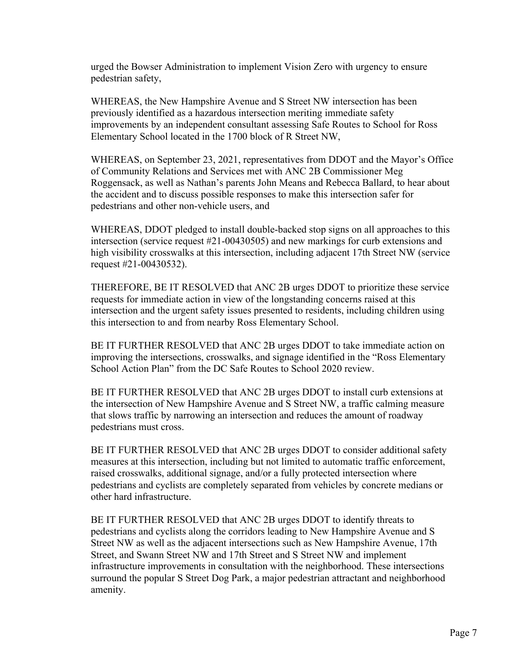urged the Bowser Administration to implement Vision Zero with urgency to ensure pedestrian safety,

WHEREAS, the New Hampshire Avenue and S Street NW intersection has been previously identified as a hazardous intersection meriting immediate safety improvements by an independent consultant assessing Safe Routes to School for Ross Elementary School located in the 1700 block of R Street NW,

WHEREAS, on September 23, 2021, representatives from DDOT and the Mayor's Office of Community Relations and Services met with ANC 2B Commissioner Meg Roggensack, as well as Nathan's parents John Means and Rebecca Ballard, to hear about the accident and to discuss possible responses to make this intersection safer for pedestrians and other non-vehicle users, and

WHEREAS, DDOT pledged to install double-backed stop signs on all approaches to this intersection (service request #21-00430505) and new markings for curb extensions and high visibility crosswalks at this intersection, including adjacent 17th Street NW (service request #21-00430532).

THEREFORE, BE IT RESOLVED that ANC 2B urges DDOT to prioritize these service requests for immediate action in view of the longstanding concerns raised at this intersection and the urgent safety issues presented to residents, including children using this intersection to and from nearby Ross Elementary School.

BE IT FURTHER RESOLVED that ANC 2B urges DDOT to take immediate action on improving the intersections, crosswalks, and signage identified in the "Ross Elementary School Action Plan" from the DC Safe Routes to School 2020 review.

BE IT FURTHER RESOLVED that ANC 2B urges DDOT to install curb extensions at the intersection of New Hampshire Avenue and S Street NW, a traffic calming measure that slows traffic by narrowing an intersection and reduces the amount of roadway pedestrians must cross.

BE IT FURTHER RESOLVED that ANC 2B urges DDOT to consider additional safety measures at this intersection, including but not limited to automatic traffic enforcement, raised crosswalks, additional signage, and/or a fully protected intersection where pedestrians and cyclists are completely separated from vehicles by concrete medians or other hard infrastructure.

BE IT FURTHER RESOLVED that ANC 2B urges DDOT to identify threats to pedestrians and cyclists along the corridors leading to New Hampshire Avenue and S Street NW as well as the adjacent intersections such as New Hampshire Avenue, 17th Street, and Swann Street NW and 17th Street and S Street NW and implement infrastructure improvements in consultation with the neighborhood. These intersections surround the popular S Street Dog Park, a major pedestrian attractant and neighborhood amenity.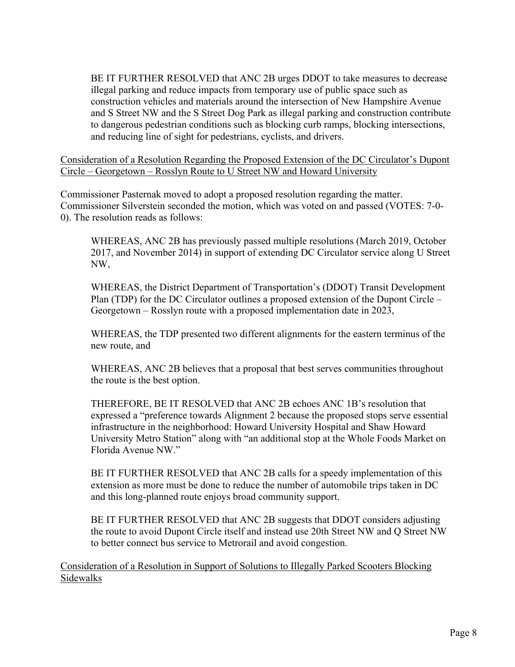BE IT FURTHER RESOLVED that ANC 2B urges DDOT to take measures to decrease illegal parking and reduce impacts from temporary use of public space such as construction vehicles and materials around the intersection of New Hampshire Avenue and S Street NW and the S Street Dog Park as illegal parking and construction contribute to dangerous pedestrian conditions such as blocking curb ramps, blocking intersections, and reducing line of sight for pedestrians, cyclists, and drivers.

Consideration of a Resolution Regarding the Proposed Extension of the DC Circulator's Dupont Circle – Georgetown – Rosslyn Route to U Street NW and Howard University

Commissioner Pasternak moved to adopt a proposed resolution regarding the matter. Commissioner Silverstein seconded the motion, which was voted on and passed (VOTES: 7-0- 0). The resolution reads as follows:

WHEREAS, ANC 2B has previously passed multiple resolutions (March 2019, October 2017, and November 2014) in support of extending DC Circulator service along U Street NW,

WHEREAS, the District Department of Transportation's (DDOT) Transit Development Plan (TDP) for the DC Circulator outlines a proposed extension of the Dupont Circle – Georgetown – Rosslyn route with a proposed implementation date in 2023,

WHEREAS, the TDP presented two different alignments for the eastern terminus of the new route, and

WHEREAS, ANC 2B believes that a proposal that best serves communities throughout the route is the best option.

THEREFORE, BE IT RESOLVED that ANC 2B echoes ANC 1B's resolution that expressed a "preference towards Alignment 2 because the proposed stops serve essential infrastructure in the neighborhood: Howard University Hospital and Shaw Howard University Metro Station" along with "an additional stop at the Whole Foods Market on Florida Avenue NW."

BE IT FURTHER RESOLVED that ANC 2B calls for a speedy implementation of this extension as more must be done to reduce the number of automobile trips taken in DC and this long-planned route enjoys broad community support.

BE IT FURTHER RESOLVED that ANC 2B suggests that DDOT considers adjusting the route to avoid Dupont Circle itself and instead use 20th Street NW and Q Street NW to better connect bus service to Metrorail and avoid congestion.

Consideration of a Resolution in Support of Solutions to Illegally Parked Scooters Blocking Sidewalks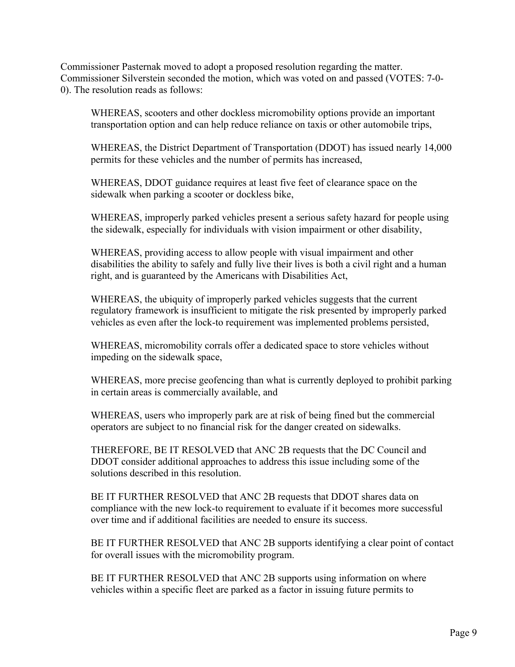Commissioner Pasternak moved to adopt a proposed resolution regarding the matter. Commissioner Silverstein seconded the motion, which was voted on and passed (VOTES: 7-0- 0). The resolution reads as follows:

WHEREAS, scooters and other dockless micromobility options provide an important transportation option and can help reduce reliance on taxis or other automobile trips,

WHEREAS, the District Department of Transportation (DDOT) has issued nearly 14,000 permits for these vehicles and the number of permits has increased,

WHEREAS, DDOT guidance requires at least five feet of clearance space on the sidewalk when parking a scooter or dockless bike,

WHEREAS, improperly parked vehicles present a serious safety hazard for people using the sidewalk, especially for individuals with vision impairment or other disability,

WHEREAS, providing access to allow people with visual impairment and other disabilities the ability to safely and fully live their lives is both a civil right and a human right, and is guaranteed by the Americans with Disabilities Act,

WHEREAS, the ubiquity of improperly parked vehicles suggests that the current regulatory framework is insufficient to mitigate the risk presented by improperly parked vehicles as even after the lock-to requirement was implemented problems persisted,

WHEREAS, micromobility corrals offer a dedicated space to store vehicles without impeding on the sidewalk space,

WHEREAS, more precise geofencing than what is currently deployed to prohibit parking in certain areas is commercially available, and

WHEREAS, users who improperly park are at risk of being fined but the commercial operators are subject to no financial risk for the danger created on sidewalks.

THEREFORE, BE IT RESOLVED that ANC 2B requests that the DC Council and DDOT consider additional approaches to address this issue including some of the solutions described in this resolution.

BE IT FURTHER RESOLVED that ANC 2B requests that DDOT shares data on compliance with the new lock-to requirement to evaluate if it becomes more successful over time and if additional facilities are needed to ensure its success.

BE IT FURTHER RESOLVED that ANC 2B supports identifying a clear point of contact for overall issues with the micromobility program.

BE IT FURTHER RESOLVED that ANC 2B supports using information on where vehicles within a specific fleet are parked as a factor in issuing future permits to